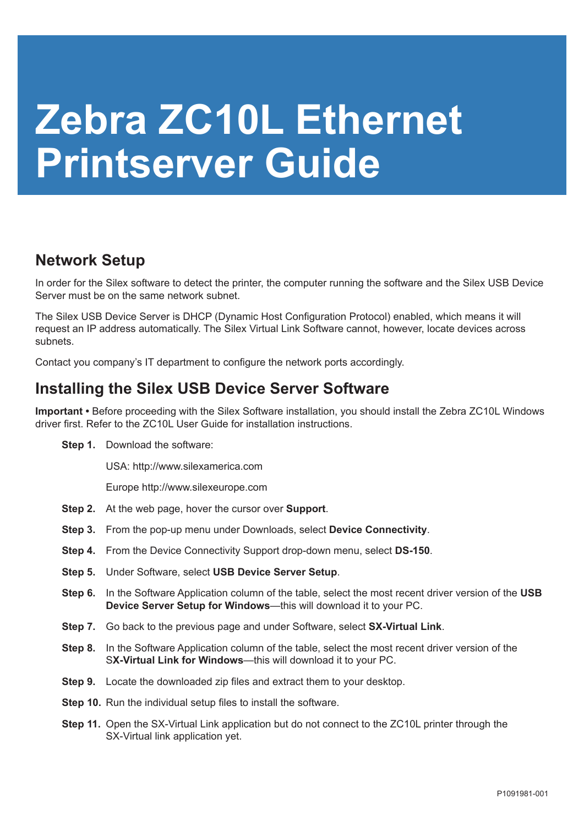## **Zebra ZC10L Ethernet Printserver Guide**

## **Network Setup**

In order for the Silex software to detect the printer, the computer running the software and the Silex USB Device Server must be on the same network subnet.

The Silex USB Device Server is DHCP (Dynamic Host Configuration Protocol) enabled, which means it will request an IP address automatically. The Silex Virtual Link Software cannot, however, locate devices across subnets.

Contact you company's IT department to configure the network ports accordingly.

## **Installing the Silex USB Device Server Software**

**Important •** Before proceeding with the Silex Software installation, you should install the Zebra ZC10L Windows driver first. Refer to the ZC10L User Guide for installation instructions.

**Step 1.** Download the software:

USA: http://www.silexamerica.com

Europe http://www.silexeurope.com

- **Step 2.** At the web page, hover the cursor over **Support**.
- **Step 3.** From the pop-up menu under Downloads, select **Device Connectivity**.
- **Step 4.** From the Device Connectivity Support drop-down menu, select **DS-150**.
- **Step 5.** Under Software, select **USB Device Server Setup**.
- **Step 6.** In the Software Application column of the table, select the most recent driver version of the **USB Device Server Setup for Windows**—this will download it to your PC.
- **Step 7.** Go back to the previous page and under Software, select **SX-Virtual Link**.
- **Step 8.** In the Software Application column of the table, select the most recent driver version of the S**X-Virtual Link for Windows**—this will download it to your PC.
- **Step 9.** Locate the downloaded zip files and extract them to your desktop.
- **Step 10.** Run the individual setup files to install the software.
- **Step 11.** Open the SX-Virtual Link application but do not connect to the ZC10L printer through the SX-Virtual link application yet.